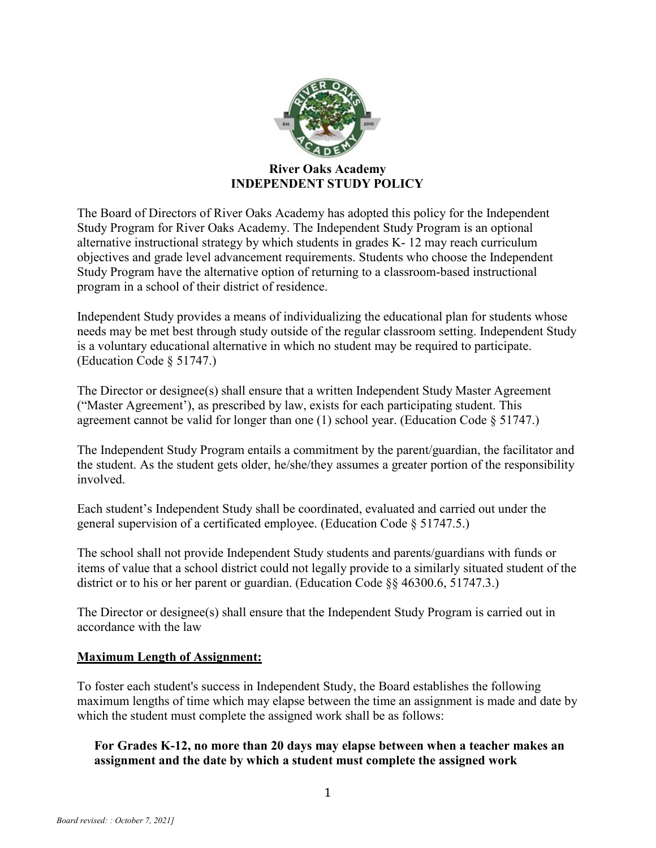

### **River Oaks Academy INDEPENDENT STUDY POLICY**

The Board of Directors of River Oaks Academy has adopted this policy for the Independent Study Program for River Oaks Academy. The Independent Study Program is an optional alternative instructional strategy by which students in grades K- 12 may reach curriculum objectives and grade level advancement requirements. Students who choose the Independent Study Program have the alternative option of returning to a classroom-based instructional program in a school of their district of residence.

Independent Study provides a means of individualizing the educational plan for students whose needs may be met best through study outside of the regular classroom setting. Independent Study is a voluntary educational alternative in which no student may be required to participate. (Education Code § 51747.)

The Director or designee(s) shall ensure that a written Independent Study Master Agreement ("Master Agreement'), as prescribed by law, exists for each participating student. This agreement cannot be valid for longer than one (1) school year. (Education Code § 51747.)

The Independent Study Program entails a commitment by the parent/guardian, the facilitator and the student. As the student gets older, he/she/they assumes a greater portion of the responsibility involved.

Each student's Independent Study shall be coordinated, evaluated and carried out under the general supervision of a certificated employee. (Education Code § 51747.5.)

The school shall not provide Independent Study students and parents/guardians with funds or items of value that a school district could not legally provide to a similarly situated student of the district or to his or her parent or guardian. (Education Code §§ 46300.6, 51747.3.)

The Director or designee(s) shall ensure that the Independent Study Program is carried out in accordance with the law

# **Maximum Length of Assignment:**

To foster each student's success in Independent Study, the Board establishes the following maximum lengths of time which may elapse between the time an assignment is made and date by which the student must complete the assigned work shall be as follows:

# **For Grades K-12, no more than 20 days may elapse between when a teacher makes an assignment and the date by which a student must complete the assigned work**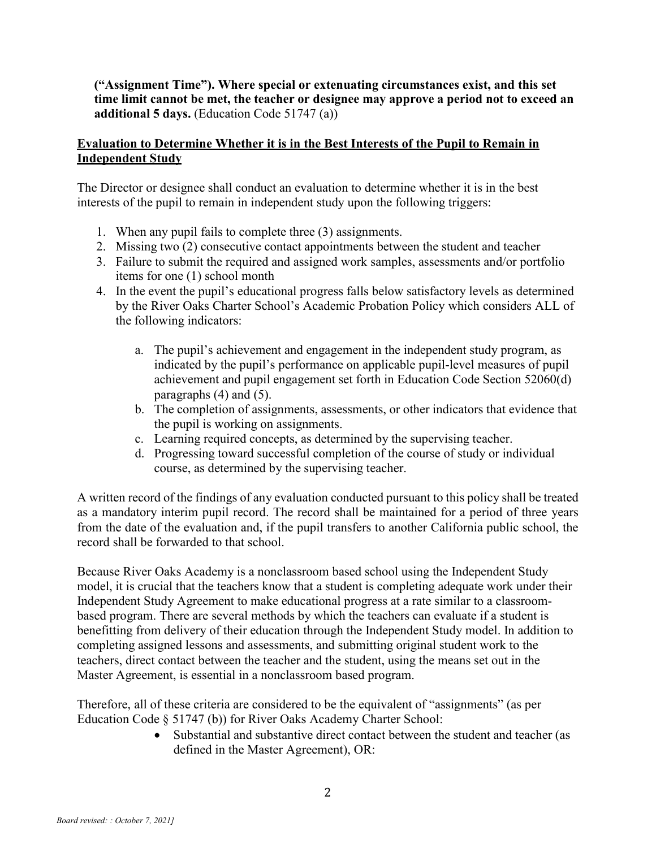**("Assignment Time"). Where special or extenuating circumstances exist, and this set time limit cannot be met, the teacher or designee may approve a period not to exceed an additional 5 days.** (Education Code 51747 (a))

### **Evaluation to Determine Whether it is in the Best Interests of the Pupil to Remain in Independent Study**

The Director or designee shall conduct an evaluation to determine whether it is in the best interests of the pupil to remain in independent study upon the following triggers:

- 1. When any pupil fails to complete three (3) assignments.
- 2. Missing two (2) consecutive contact appointments between the student and teacher
- 3. Failure to submit the required and assigned work samples, assessments and/or portfolio items for one (1) school month
- 4. In the event the pupil's educational progress falls below satisfactory levels as determined by the River Oaks Charter School's Academic Probation Policy which considers ALL of the following indicators:
	- a. The pupil's achievement and engagement in the independent study program, as indicated by the pupil's performance on applicable pupil-level measures of pupil achievement and pupil engagement set forth in Education Code Section 52060(d) paragraphs (4) and (5).
	- b. The completion of assignments, assessments, or other indicators that evidence that the pupil is working on assignments.
	- c. Learning required concepts, as determined by the supervising teacher.
	- d. Progressing toward successful completion of the course of study or individual course, as determined by the supervising teacher.

A written record of the findings of any evaluation conducted pursuant to this policy shall be treated as a mandatory interim pupil record. The record shall be maintained for a period of three years from the date of the evaluation and, if the pupil transfers to another California public school, the record shall be forwarded to that school.

Because River Oaks Academy is a nonclassroom based school using the Independent Study model, it is crucial that the teachers know that a student is completing adequate work under their Independent Study Agreement to make educational progress at a rate similar to a classroombased program. There are several methods by which the teachers can evaluate if a student is benefitting from delivery of their education through the Independent Study model. In addition to completing assigned lessons and assessments, and submitting original student work to the teachers, direct contact between the teacher and the student, using the means set out in the Master Agreement, is essential in a nonclassroom based program.

Therefore, all of these criteria are considered to be the equivalent of "assignments" (as per Education Code § 51747 (b)) for River Oaks Academy Charter School:

> • Substantial and substantive direct contact between the student and teacher (as defined in the Master Agreement), OR: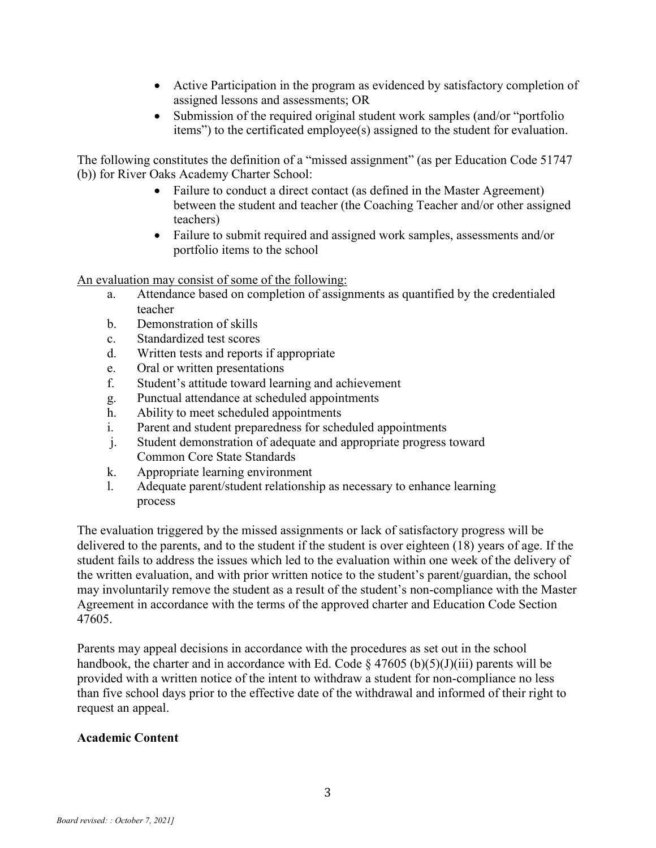- Active Participation in the program as evidenced by satisfactory completion of assigned lessons and assessments; OR
- Submission of the required original student work samples (and/or "portfolio") items") to the certificated employee(s) assigned to the student for evaluation.

The following constitutes the definition of a "missed assignment" (as per Education Code 51747 (b)) for River Oaks Academy Charter School:

- Failure to conduct a direct contact (as defined in the Master Agreement) between the student and teacher (the Coaching Teacher and/or other assigned teachers)
- Failure to submit required and assigned work samples, assessments and/or portfolio items to the school

An evaluation may consist of some of the following:

- a. Attendance based on completion of assignments as quantified by the credentialed teacher
- b. Demonstration of skills
- c. Standardized test scores
- d. Written tests and reports if appropriate
- e. Oral or written presentations
- f. Student's attitude toward learning and achievement
- g. Punctual attendance at scheduled appointments
- h. Ability to meet scheduled appointments
- i. Parent and student preparedness for scheduled appointments
- j. Student demonstration of adequate and appropriate progress toward Common Core State Standards
- k. Appropriate learning environment
- l. Adequate parent/student relationship as necessary to enhance learning process

The evaluation triggered by the missed assignments or lack of satisfactory progress will be delivered to the parents, and to the student if the student is over eighteen (18) years of age. If the student fails to address the issues which led to the evaluation within one week of the delivery of the written evaluation, and with prior written notice to the student's parent/guardian, the school may involuntarily remove the student as a result of the student's non-compliance with the Master Agreement in accordance with the terms of the approved charter and Education Code Section 47605.

Parents may appeal decisions in accordance with the procedures as set out in the school handbook, the charter and in accordance with Ed. Code § 47605 (b)(5)(J)(iii) parents will be provided with a written notice of the intent to withdraw a student for non-compliance no less than five school days prior to the effective date of the withdrawal and informed of their right to request an appeal.

#### **Academic Content**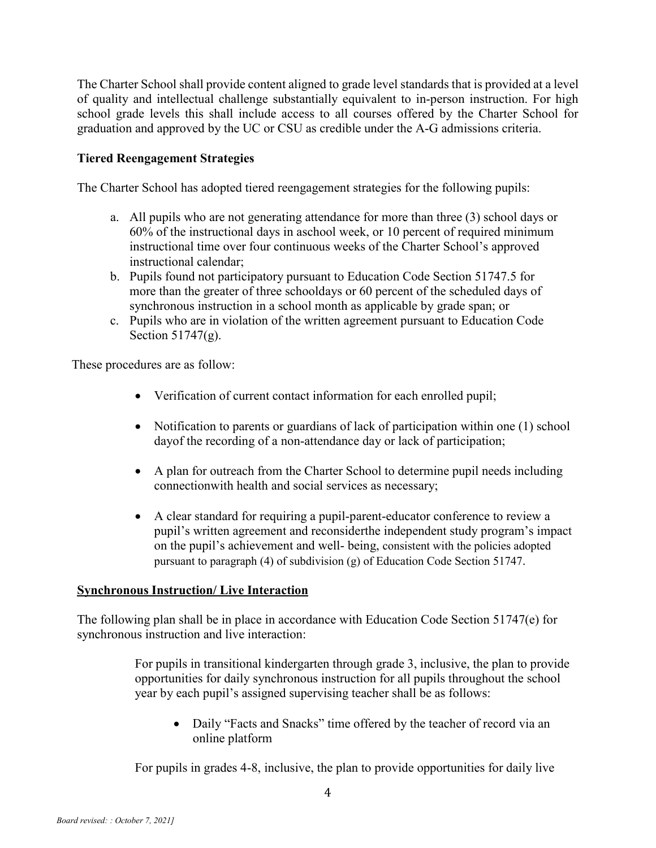The Charter School shall provide content aligned to grade level standards that is provided at a level of quality and intellectual challenge substantially equivalent to in-person instruction. For high school grade levels this shall include access to all courses offered by the Charter School for graduation and approved by the UC or CSU as credible under the A-G admissions criteria.

# **Tiered Reengagement Strategies**

The Charter School has adopted tiered reengagement strategies for the following pupils:

- a. All pupils who are not generating attendance for more than three (3) school days or 60% of the instructional days in aschool week, or 10 percent of required minimum instructional time over four continuous weeks of the Charter School's approved instructional calendar;
- b. Pupils found not participatory pursuant to Education Code Section 51747.5 for more than the greater of three schooldays or 60 percent of the scheduled days of synchronous instruction in a school month as applicable by grade span; or
- c. Pupils who are in violation of the written agreement pursuant to Education Code Section 51747(g).

These procedures are as follow:

- Verification of current contact information for each enrolled pupil;
- Notification to parents or guardians of lack of participation within one (1) school dayof the recording of a non-attendance day or lack of participation;
- A plan for outreach from the Charter School to determine pupil needs including connectionwith health and social services as necessary;
- A clear standard for requiring a pupil-parent-educator conference to review a pupil's written agreement and reconsiderthe independent study program's impact on the pupil's achievement and well- being, consistent with the policies adopted pursuant to paragraph (4) of subdivision (g) of Education Code Section 51747.

#### **Synchronous Instruction/ Live Interaction**

The following plan shall be in place in accordance with Education Code Section 51747(e) for synchronous instruction and live interaction:

> For pupils in transitional kindergarten through grade 3, inclusive, the plan to provide opportunities for daily synchronous instruction for all pupils throughout the school year by each pupil's assigned supervising teacher shall be as follows:

• Daily "Facts and Snacks" time offered by the teacher of record via an online platform

For pupils in grades 4-8, inclusive, the plan to provide opportunities for daily live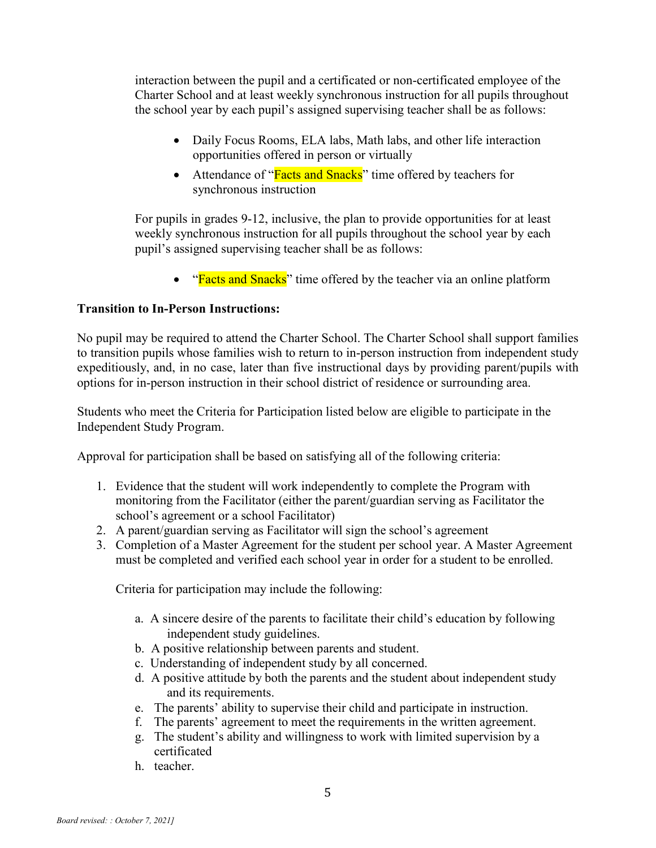interaction between the pupil and a certificated or non-certificated employee of the Charter School and at least weekly synchronous instruction for all pupils throughout the school year by each pupil's assigned supervising teacher shall be as follows:

- Daily Focus Rooms, ELA labs, Math labs, and other life interaction opportunities offered in person or virtually
- Attendance of "**Facts and Snacks**" time offered by teachers for synchronous instruction

For pupils in grades 9-12, inclusive, the plan to provide opportunities for at least weekly synchronous instruction for all pupils throughout the school year by each pupil's assigned supervising teacher shall be as follows:

• "Facts and Snacks" time offered by the teacher via an online platform

# **Transition to In-Person Instructions:**

No pupil may be required to attend the Charter School. The Charter School shall support families to transition pupils whose families wish to return to in-person instruction from independent study expeditiously, and, in no case, later than five instructional days by providing parent/pupils with options for in-person instruction in their school district of residence or surrounding area.

Students who meet the Criteria for Participation listed below are eligible to participate in the Independent Study Program.

Approval for participation shall be based on satisfying all of the following criteria:

- 1. Evidence that the student will work independently to complete the Program with monitoring from the Facilitator (either the parent/guardian serving as Facilitator the school's agreement or a school Facilitator)
- 2. A parent/guardian serving as Facilitator will sign the school's agreement
- 3. Completion of a Master Agreement for the student per school year. A Master Agreement must be completed and verified each school year in order for a student to be enrolled.

Criteria for participation may include the following:

- a. A sincere desire of the parents to facilitate their child's education by following independent study guidelines.
- b. A positive relationship between parents and student.
- c. Understanding of independent study by all concerned.
- d. A positive attitude by both the parents and the student about independent study and its requirements.
- e. The parents' ability to supervise their child and participate in instruction.
- f. The parents' agreement to meet the requirements in the written agreement.
- g. The student's ability and willingness to work with limited supervision by a certificated
- h. teacher.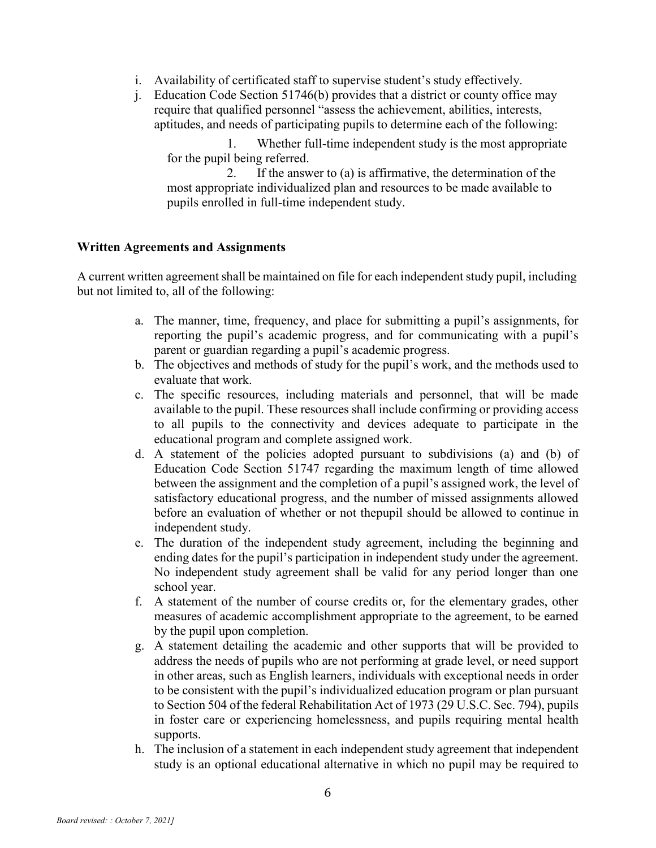- i. Availability of certificated staff to supervise student's study effectively.
- j. Education Code Section 51746(b) provides that a district or county office may require that qualified personnel "assess the achievement, abilities, interests, aptitudes, and needs of participating pupils to determine each of the following:

1. Whether full-time independent study is the most appropriate for the pupil being referred.

2. If the answer to (a) is affirmative, the determination of the most appropriate individualized plan and resources to be made available to pupils enrolled in full-time independent study.

#### **Written Agreements and Assignments**

A current written agreement shall be maintained on file for each independent study pupil, including but not limited to, all of the following:

- a. The manner, time, frequency, and place for submitting a pupil's assignments, for reporting the pupil's academic progress, and for communicating with a pupil's parent or guardian regarding a pupil's academic progress.
- b. The objectives and methods of study for the pupil's work, and the methods used to evaluate that work.
- c. The specific resources, including materials and personnel, that will be made available to the pupil. These resources shall include confirming or providing access to all pupils to the connectivity and devices adequate to participate in the educational program and complete assigned work.
- d. A statement of the policies adopted pursuant to subdivisions (a) and (b) of Education Code Section 51747 regarding the maximum length of time allowed between the assignment and the completion of a pupil's assigned work, the level of satisfactory educational progress, and the number of missed assignments allowed before an evaluation of whether or not thepupil should be allowed to continue in independent study.
- e. The duration of the independent study agreement, including the beginning and ending dates for the pupil's participation in independent study under the agreement. No independent study agreement shall be valid for any period longer than one school year.
- f. A statement of the number of course credits or, for the elementary grades, other measures of academic accomplishment appropriate to the agreement, to be earned by the pupil upon completion.
- g. A statement detailing the academic and other supports that will be provided to address the needs of pupils who are not performing at grade level, or need support in other areas, such as English learners, individuals with exceptional needs in order to be consistent with the pupil's individualized education program or plan pursuant to Section 504 of the federal Rehabilitation Act of 1973 (29 U.S.C. Sec. 794), pupils in foster care or experiencing homelessness, and pupils requiring mental health supports.
- h. The inclusion of a statement in each independent study agreement that independent study is an optional educational alternative in which no pupil may be required to